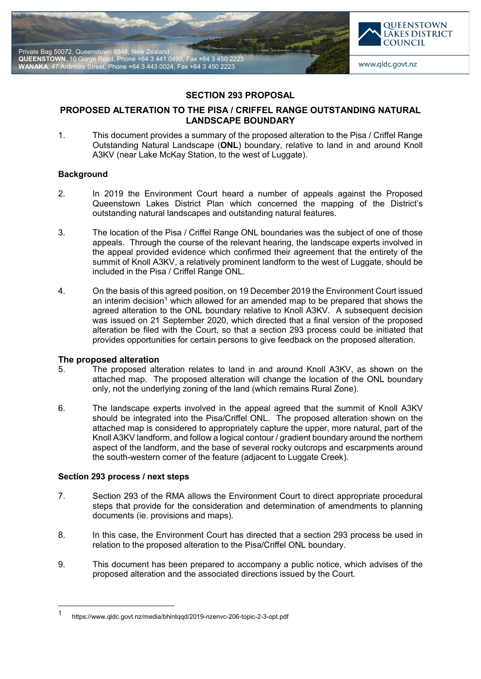



# **SECTION 293 PROPOSAL**

## **PROPOSED ALTERATION TO THE PISA / CRIFFEL RANGE OUTSTANDING NATURAL LANDSCAPE BOUNDARY**

1. This document provides a summary of the proposed alteration to the Pisa / Criffel Range Outstanding Natural Landscape (**ONL**) boundary, relative to land in and around Knoll A3KV (near Lake McKay Station, to the west of Luggate).

#### **Background**

- 2. In 2019 the Environment Court heard a number of appeals against the Proposed Queenstown Lakes District Plan which concerned the mapping of the District's outstanding natural landscapes and outstanding natural features.
- 3. The location of the Pisa / Criffel Range ONL boundaries was the subject of one of those appeals. Through the course of the relevant hearing, the landscape experts involved in the appeal provided evidence which confirmed their agreement that the entirety of the summit of Knoll A3KV, a relatively prominent landform to the west of Luggate, should be included in the Pisa / Criffel Range ONL.
- 4. On the basis of this agreed position, on 19 December 2019 the Environment Court issued an interim decision<sup>[1](#page-0-0)</sup> which allowed for an amended map to be prepared that shows the agreed alteration to the ONL boundary relative to Knoll A3KV. A subsequent decision was issued on 21 September 2020, which directed that a final version of the proposed alteration be filed with the Court, so that a section 293 process could be initiated that provides opportunities for certain persons to give feedback on the proposed alteration.

### **The proposed alteration**

- 5. The proposed alteration relates to land in and around Knoll A3KV, as shown on the attached map. The proposed alteration will change the location of the ONL boundary only, not the underlying zoning of the land (which remains Rural Zone).
- 6. The landscape experts involved in the appeal agreed that the summit of Knoll A3KV should be integrated into the Pisa/Criffel ONL. The proposed alteration shown on the attached map is considered to appropriately capture the upper, more natural, part of the Knoll A3KV landform, and follow a logical contour / gradient boundary around the northern aspect of the landform, and the base of several rocky outcrops and escarpments around the south-western corner of the feature (adjacent to Luggate Creek).

## **Section 293 process / next steps**

- 7. Section 293 of the RMA allows the Environment Court to direct appropriate procedural steps that provide for the consideration and determination of amendments to planning documents (ie. provisions and maps).
- 8. In this case, the Environment Court has directed that a section 293 process be used in relation to the proposed alteration to the Pisa/Criffel ONL boundary.
- 9. This document has been prepared to accompany a public notice, which advises of the proposed alteration and the associated directions issued by the Court.

<span id="page-0-0"></span> <sup>1</sup> https://www.qldc.govt.nz/media/bhintqqd/2019-nzenvc-206-topic-2-3-opt.pdf